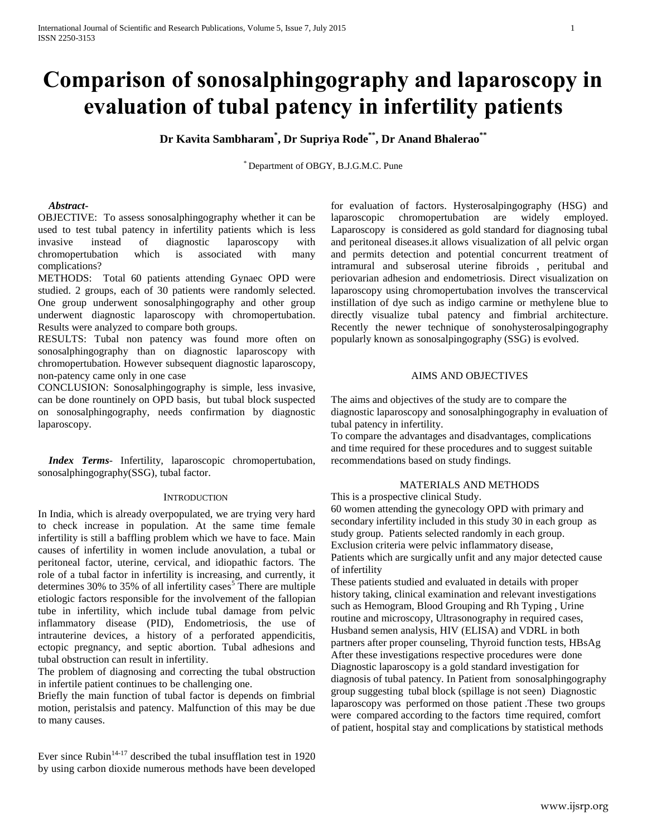# **Comparison of sonosalphingography and laparoscopy in evaluation of tubal patency in infertility patients**

**Dr Kavita Sambharam\* , Dr Supriya Rode\*\*, Dr Anand Bhalerao\*\***

\* Department of OBGY, B.J.G.M.C. Pune

### *Abstract***-**

OBJECTIVE: To assess sonosalphingography whether it can be used to test tubal patency in infertility patients which is less invasive instead of diagnostic laparoscopy with chromopertubation which is associated with many complications?

METHODS: Total 60 patients attending Gynaec OPD were studied. 2 groups, each of 30 patients were randomly selected. One group underwent sonosalphingography and other group underwent diagnostic laparoscopy with chromopertubation. Results were analyzed to compare both groups.

RESULTS: Tubal non patency was found more often on sonosalphingography than on diagnostic laparoscopy with chromopertubation. However subsequent diagnostic laparoscopy, non-patency came only in one case

CONCLUSION: Sonosalphingography is simple, less invasive, can be done rountinely on OPD basis, but tubal block suspected on sonosalphingography, needs confirmation by diagnostic laparoscopy.

 *Index Terms*- Infertility, laparoscopic chromopertubation, sonosalphingography(SSG), tubal factor.

#### **INTRODUCTION**

In India, which is already overpopulated, we are trying very hard to check increase in population. At the same time female infertility is still a baffling problem which we have to face. Main causes of infertility in women include anovulation, a tubal or peritoneal factor, uterine, cervical, and idiopathic factors. The role of a tubal factor in infertility is increasing, and currently, it determines 30% to 35% of all infertility cases<sup>5</sup> There are multiple etiologic factors responsible for the involvement of the fallopian tube in infertility, which include tubal damage from pelvic inflammatory disease (PID), Endometriosis, the use of intrauterine devices, a history of a perforated appendicitis, ectopic pregnancy, and septic abortion. Tubal adhesions and tubal obstruction can result in infertility.

The problem of diagnosing and correcting the tubal obstruction in infertile patient continues to be challenging one.

Briefly the main function of tubal factor is depends on fimbrial motion, peristalsis and patency. Malfunction of this may be due to many causes.

Ever since Rubin<sup>14-17</sup> described the tubal insufflation test in 1920 by using carbon dioxide numerous methods have been developed for evaluation of factors. Hysterosalpingography (HSG) and laparoscopic chromopertubation are widely employed. Laparoscopy is considered as gold standard for diagnosing tubal and peritoneal diseases.it allows visualization of all pelvic organ and permits detection and potential concurrent treatment of intramural and subserosal uterine fibroids , peritubal and periovarian adhesion and endometriosis. Direct visualization on laparoscopy using chromopertubation involves the transcervical instillation of dye such as indigo carmine or methylene blue to directly visualize tubal patency and fimbrial architecture. Recently the newer technique of sonohysterosalpingography popularly known as sonosalpingography (SSG) is evolved.

### AIMS AND OBJECTIVES

The aims and objectives of the study are to compare the diagnostic laparoscopy and sonosalphingography in evaluation of tubal patency in infertility.

To compare the advantages and disadvantages, complications and time required for these procedures and to suggest suitable recommendations based on study findings.

#### MATERIALS AND METHODS

This is a prospective clinical Study. 60 women attending the gynecology OPD with primary and secondary infertility included in this study 30 in each group as study group. Patients selected randomly in each group. Exclusion criteria were pelvic inflammatory disease, Patients which are surgically unfit and any major detected cause of infertility

These patients studied and evaluated in details with proper history taking, clinical examination and relevant investigations such as Hemogram, Blood Grouping and Rh Typing , Urine routine and microscopy, Ultrasonography in required cases, Husband semen analysis, HIV (ELISA) and VDRL in both partners after proper counseling, Thyroid function tests, HBsAg After these investigations respective procedures were done Diagnostic laparoscopy is a gold standard investigation for diagnosis of tubal patency. In Patient from sonosalphingography group suggesting tubal block (spillage is not seen) Diagnostic laparoscopy was performed on those patient .These two groups were compared according to the factors time required, comfort of patient, hospital stay and complications by statistical methods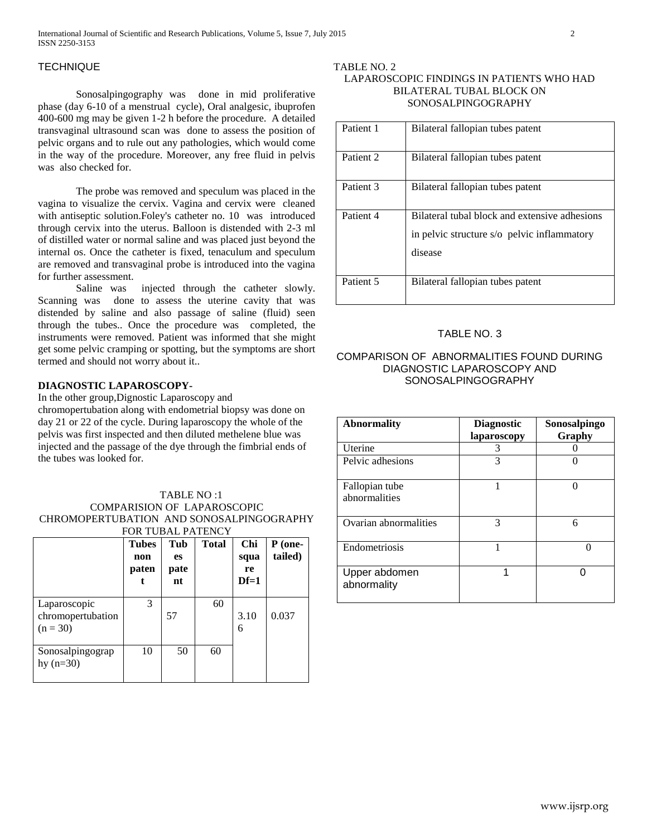# **TECHNIQUE**

Sonosalpingography was done in mid proliferative phase (day 6-10 of a menstrual cycle), Oral analgesic, ibuprofen 400-600 mg may be given 1-2 h before the procedure. A detailed transvaginal ultrasound scan was done to assess the position of pelvic organs and to rule out any pathologies, which would come in the way of the procedure. Moreover, any free fluid in pelvis was also checked for.

The probe was removed and speculum was placed in the vagina to visualize the cervix. Vagina and cervix were cleaned with antiseptic solution.Foley's catheter no. 10 was introduced through cervix into the uterus. Balloon is distended with 2-3 ml of distilled water or normal saline and was placed just beyond the internal os. Once the catheter is fixed, tenaculum and speculum are removed and transvaginal probe is introduced into the vagina for further assessment.

Saline was injected through the catheter slowly. Scanning was done to assess the uterine cavity that was distended by saline and also passage of saline (fluid) seen through the tubes.. Once the procedure was completed, the instruments were removed. Patient was informed that she might get some pelvic cramping or spotting, but the symptoms are short termed and should not worry about it..

## **DIAGNOSTIC LAPAROSCOPY-**

In the other group,Dignostic Laparoscopy and

chromopertubation along with endometrial biopsy was done on day 21 or 22 of the cycle. During laparoscopy the whole of the pelvis was first inspected and then diluted methelene blue was injected and the passage of the dye through the fimbrial ends of the tubes was looked for.

## TABLE NO :1 COMPARISION OF LAPAROSCOPIC CHROMOPERTUBATION AND SONOSALPINGOGRAPHY FOR TUBAL PATENCY

|                                                 | <b>Tubes</b><br>non<br>paten | Tub<br><b>es</b><br>pate<br>nt | <b>Total</b> | Chi<br>squa<br>re<br>$Df=1$ | P (one-<br>tailed) |
|-------------------------------------------------|------------------------------|--------------------------------|--------------|-----------------------------|--------------------|
| Laparoscopic<br>chromopertubation<br>$(n = 30)$ | 3                            | 57                             | 60           | 3.10<br>6                   | 0.037              |
| Sonosalpingograp<br>hy $(n=30)$                 | 10                           | 50                             | 60           |                             |                    |

## TABLE NO. 2 LAPAROSCOPIC FINDINGS IN PATIENTS WHO HAD BILATERAL TUBAL BLOCK ON SONOSALPINGOGRAPHY

| Patient 1            | Bilateral fallopian tubes patent                                                                        |
|----------------------|---------------------------------------------------------------------------------------------------------|
| Patient <sub>2</sub> | Bilateral fallopian tubes patent                                                                        |
| Patient <sub>3</sub> | Bilateral fallopian tubes patent                                                                        |
| Patient 4            | Bilateral tubal block and extensive adhesions<br>in pelvic structure s/o pelvic inflammatory<br>disease |
| Patient 5            | Bilateral fallopian tubes patent                                                                        |

# TABLE NO. 3

# COMPARISON OF ABNORMALITIES FOUND DURING DIAGNOSTIC LAPAROSCOPY AND SONOSALPINGOGRAPHY

| <b>Abnormality</b>              | <b>Diagnostic</b><br>laparoscopy | Sonosalpingo<br>Graphy |
|---------------------------------|----------------------------------|------------------------|
| Uterine                         | 3                                |                        |
| Pelvic adhesions                | 3                                |                        |
| Fallopian tube<br>abnormalities |                                  |                        |
| Ovarian abnormalities           | 3                                | 6                      |
| Endometriosis                   |                                  |                        |
| Upper abdomen<br>abnormality    |                                  |                        |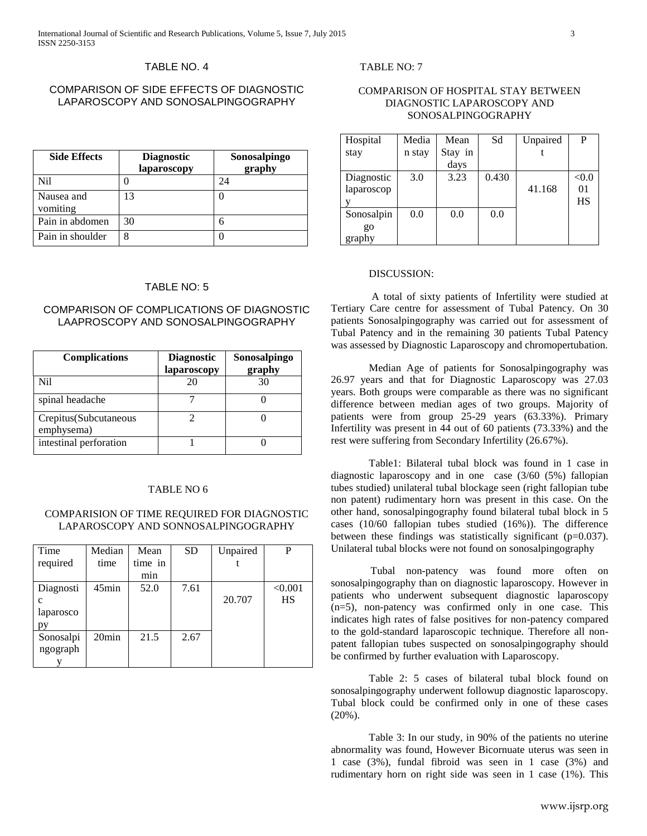#### TABLE NO. 4

# COMPARISON OF SIDE EFFECTS OF DIAGNOSTIC LAPAROSCOPY AND SONOSALPINGOGRAPHY

| <b>Side Effects</b>    | <b>Diagnostic</b><br>laparoscopy | Sonosalpingo<br>graphy |
|------------------------|----------------------------------|------------------------|
| Nil                    |                                  | 24                     |
| Nausea and<br>vomiting | 13                               |                        |
| Pain in abdomen        | 30                               | 6                      |
| Pain in shoulder       | 8                                |                        |

# TABLE NO: 5

# COMPARISON OF COMPLICATIONS OF DIAGNOSTIC LAAPROSCOPY AND SONOSALPINGOGRAPHY

| <b>Complications</b>                 | <b>Diagnostic</b><br>laparoscopy | Sonosalpingo<br>graphy |
|--------------------------------------|----------------------------------|------------------------|
| Nil                                  | 20                               | 30                     |
| spinal headache                      |                                  |                        |
| Crepitus (Subcutaneous<br>emphysema) |                                  |                        |
| intestinal perforation               |                                  |                        |

## TABLE NO 6

## COMPARISION OF TIME REQUIRED FOR DIAGNOSTIC LAPAROSCOPY AND SONNOSALPINGOGRAPHY

| Time         | Median            | Mean    | <b>SD</b> | Unpaired | P       |
|--------------|-------------------|---------|-----------|----------|---------|
| required     | time              | time in |           |          |         |
|              |                   | min     |           |          |         |
| Diagnosti    | $45$ min          | 52.0    | 7.61      |          | < 0.001 |
| $\mathbf{C}$ |                   |         |           | 20.707   | HS      |
| laparosco    |                   |         |           |          |         |
| py           |                   |         |           |          |         |
| Sonosalpi    | 20 <sub>min</sub> | 21.5    | 2.67      |          |         |
| ngograph     |                   |         |           |          |         |
|              |                   |         |           |          |         |

TABLE NO: 7

## COMPARISON OF HOSPITAL STAY BETWEEN DIAGNOSTIC LAPAROSCOPY AND SONOSALPINGOGRAPHY

| Hospital   | Media  | Mean    | Sd    | Unpaired | P     |
|------------|--------|---------|-------|----------|-------|
| stay       | n stay | Stay in |       |          |       |
|            |        | days    |       |          |       |
| Diagnostic | 3.0    | 3.23    | 0.430 |          | < 0.0 |
| laparoscop |        |         |       | 41.168   | 01    |
|            |        |         |       |          | HS    |
| Sonosalpin | 0.0    | 0.0     | 0.0   |          |       |
| go         |        |         |       |          |       |
| graphy     |        |         |       |          |       |

# DISCUSSION:

A total of sixty patients of Infertility were studied at Tertiary Care centre for assessment of Tubal Patency. On 30 patients Sonosalpingography was carried out for assessment of Tubal Patency and in the remaining 30 patients Tubal Patency was assessed by Diagnostic Laparoscopy and chromopertubation.

Median Age of patients for Sonosalpingography was 26.97 years and that for Diagnostic Laparoscopy was 27.03 years. Both groups were comparable as there was no significant difference between median ages of two groups. Majority of patients were from group 25-29 years (63.33%). Primary Infertility was present in 44 out of 60 patients (73.33%) and the rest were suffering from Secondary Infertility (26.67%).

Table1: Bilateral tubal block was found in 1 case in diagnostic laparoscopy and in one case (3/60 (5%) fallopian tubes studied) unilateral tubal blockage seen (right fallopian tube non patent) rudimentary horn was present in this case. On the other hand, sonosalpingography found bilateral tubal block in 5 cases (10/60 fallopian tubes studied (16%)). The difference between these findings was statistically significant (p=0.037). Unilateral tubal blocks were not found on sonosalpingography

 Tubal non-patency was found more often on sonosalpingography than on diagnostic laparoscopy. However in patients who underwent subsequent diagnostic laparoscopy (n=5), non-patency was confirmed only in one case. This indicates high rates of false positives for non-patency compared to the gold-standard laparoscopic technique. Therefore all nonpatent fallopian tubes suspected on sonosalpingography should be confirmed by further evaluation with Laparoscopy.

Table 2: 5 cases of bilateral tubal block found on sonosalpingography underwent followup diagnostic laparoscopy. Tubal block could be confirmed only in one of these cases (20%).

Table 3: In our study, in 90% of the patients no uterine abnormality was found, However Bicornuate uterus was seen in 1 case (3%), fundal fibroid was seen in 1 case (3%) and rudimentary horn on right side was seen in 1 case (1%). This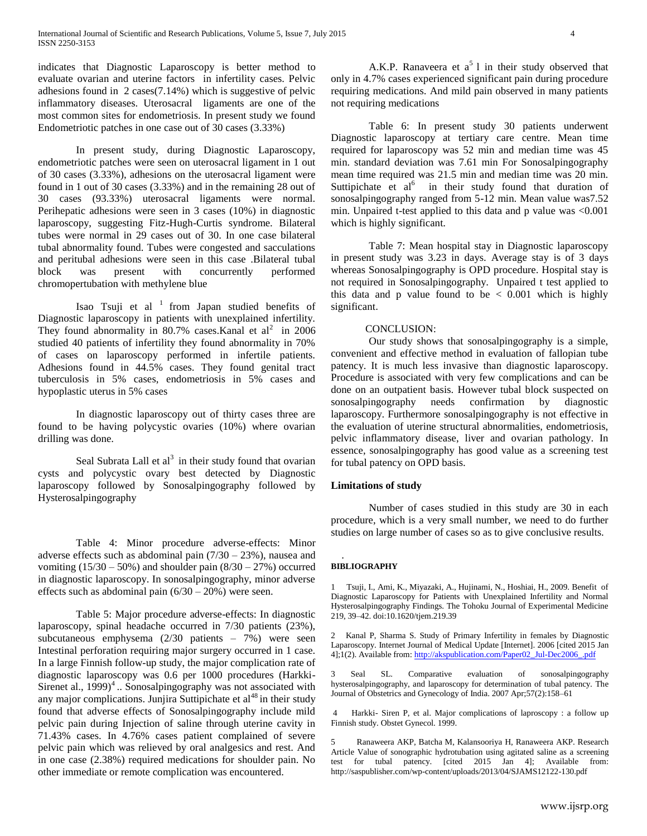indicates that Diagnostic Laparoscopy is better method to evaluate ovarian and uterine factors in infertility cases. Pelvic adhesions found in 2 cases(7.14%) which is suggestive of pelvic inflammatory diseases. Uterosacral ligaments are one of the most common sites for endometriosis. In present study we found Endometriotic patches in one case out of 30 cases (3.33%)

In present study, during Diagnostic Laparoscopy, endometriotic patches were seen on uterosacral ligament in 1 out of 30 cases (3.33%), adhesions on the uterosacral ligament were found in 1 out of 30 cases (3.33%) and in the remaining 28 out of 30 cases (93.33%) uterosacral ligaments were normal. Perihepatic adhesions were seen in 3 cases (10%) in diagnostic laparoscopy, suggesting Fitz-Hugh-Curtis syndrome. Bilateral tubes were normal in 29 cases out of 30. In one case bilateral tubal abnormality found. Tubes were congested and sacculations and peritubal adhesions were seen in this case .Bilateral tubal block was present with concurrently performed chromopertubation with methylene blue

Isao Tsuji et al  $1$  from Japan studied benefits of Diagnostic laparoscopy in patients with unexplained infertility. They found abnormality in 80.7% cases.Kanal et  $al^2$  in 2006 studied 40 patients of infertility they found abnormality in 70% of cases on laparoscopy performed in infertile patients. Adhesions found in 44.5% cases. They found genital tract tuberculosis in 5% cases, endometriosis in 5% cases and hypoplastic uterus in 5% cases

In diagnostic laparoscopy out of thirty cases three are found to be having polycystic ovaries (10%) where ovarian drilling was done.

Seal Subrata Lall et  $al<sup>3</sup>$  in their study found that ovarian cysts and polycystic ovary best detected by Diagnostic laparoscopy followed by Sonosalpingography followed by Hysterosalpingography

Table 4: Minor procedure adverse-effects: Minor adverse effects such as abdominal pain  $(7/30 - 23%)$ , nausea and vomiting  $(15/30 - 50\%)$  and shoulder pain  $(8/30 - 27\%)$  occurred in diagnostic laparoscopy. In sonosalpingography, minor adverse effects such as abdominal pain  $(6/30 - 20%)$  were seen.

Table 5: Major procedure adverse-effects: In diagnostic laparoscopy, spinal headache occurred in 7/30 patients (23%), subcutaneous emphysema (2/30 patients – 7%) were seen Intestinal perforation requiring major surgery occurred in 1 case. In a large Finnish follow-up study, the major complication rate of diagnostic laparoscopy was 0.6 per 1000 procedures (Harkki-Sirenet al.,  $1999)^4$ .. Sonosalpingography was not associated with any major complications. Junjira Suttipichate et  $al<sup>48</sup>$  in their study found that adverse effects of Sonosalpingography include mild pelvic pain during Injection of saline through uterine cavity in 71.43% cases. In 4.76% cases patient complained of severe pelvic pain which was relieved by oral analgesics and rest. And in one case (2.38%) required medications for shoulder pain. No other immediate or remote complication was encountered.

A.K.P. Ranaveera et  $a^5$  l in their study observed that only in 4.7% cases experienced significant pain during procedure requiring medications. And mild pain observed in many patients not requiring medications

Table 6: In present study 30 patients underwent Diagnostic laparoscopy at tertiary care centre. Mean time required for laparoscopy was 52 min and median time was 45 min. standard deviation was 7.61 min For Sonosalpingography mean time required was 21.5 min and median time was 20 min. Suttipichate et  $al^6$  in their study found that duration of sonosalpingography ranged from 5-12 min. Mean value was7.52 min. Unpaired t-test applied to this data and p value was  $\leq 0.001$ which is highly significant.

Table 7: Mean hospital stay in Diagnostic laparoscopy in present study was 3.23 in days. Average stay is of 3 days whereas Sonosalpingography is OPD procedure. Hospital stay is not required in Sonosalpingography. Unpaired t test applied to this data and p value found to be  $\lt$  0.001 which is highly significant.

## CONCLUSION:

Our study shows that sonosalpingography is a simple, convenient and effective method in evaluation of fallopian tube patency. It is much less invasive than diagnostic laparoscopy. Procedure is associated with very few complications and can be done on an outpatient basis. However tubal block suspected on sonosalpingography needs confirmation by diagnostic laparoscopy. Furthermore sonosalpingography is not effective in the evaluation of uterine structural abnormalities, endometriosis, pelvic inflammatory disease, liver and ovarian pathology. In essence, sonosalpingography has good value as a screening test for tubal patency on OPD basis.

## **Limitations of study**

Number of cases studied in this study are 30 in each procedure, which is a very small number, we need to do further studies on large number of cases so as to give conclusive results.

#### . **BIBLIOGRAPHY**

1 Tsuji, I., Ami, K., Miyazaki, A., Hujinami, N., Hoshiai, H., 2009. Benefit of Diagnostic Laparoscopy for Patients with Unexplained Infertility and Normal Hysterosalpingography Findings. The Tohoku Journal of Experimental Medicine 219, 39–42. doi:10.1620/tjem.219.39

2 Kanal P, Sharma S. Study of Primary Infertility in females by Diagnostic Laparoscopy. Internet Journal of Medical Update [Internet]. 2006 [cited 2015 Jan 4];1(2). Available from[: http://akspublication.com/Paper02\\_Jul-Dec2006\\_.pdf](http://akspublication.com/Paper02_Jul-Dec2006_.pdf)

3 Seal SL. Comparative evaluation of sonosalpingography hysterosalpingography, and laparoscopy for determination of tubal patency. The Journal of Obstetrics and Gynecology of India. 2007 Apr;57(2):158–61

4 Harkki- Siren P, et al. Major complications of laproscopy : a follow up Finnish study. Obstet Gynecol. 1999.

5 Ranaweera AKP, Batcha M, Kalansooriya H, Ranaweera AKP. Research Article Value of sonographic hydrotubation using agitated saline as a screening test for tubal patency. [cited 2015 Jan 4]; Available from: http://saspublisher.com/wp-content/uploads/2013/04/SJAMS12122-130.pdf